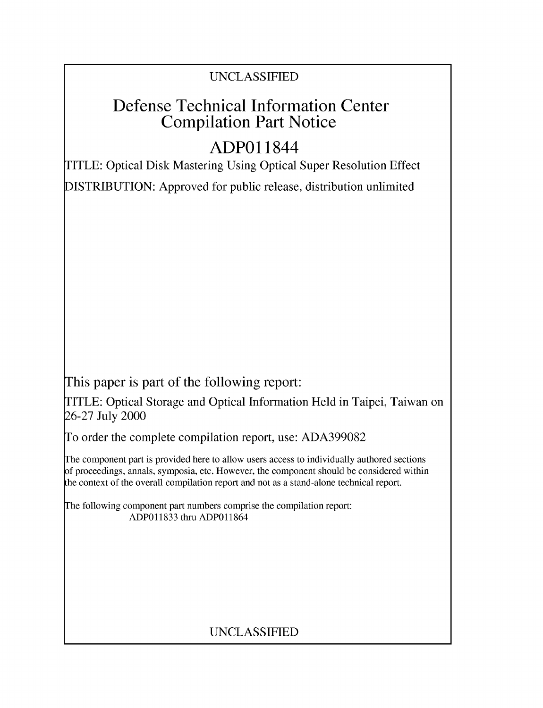# UNCLASSIFIED

# Defense Technical Information Center Compilation Part Notice

# **ADPO** 11844

TITLE: Optical Disk Mastering Using Optical Super Resolution Effect DISTRIBUTION: Approved for public release, distribution unlimited

This paper is part of the following report:

TITLE: Optical Storage and Optical Information Held in Taipei, Taiwan on 26-27 July 2000

To order the complete compilation report, use: ADA399082

The component part is provided here to allow users access to individually authored sections f proceedings, annals, symposia, etc. However, the component should be considered within [he context of the overall compilation report and not as a stand-alone technical report.

The following component part numbers comprise the compilation report: ADP011833 thru ADP011864

# UNCLASSIFIED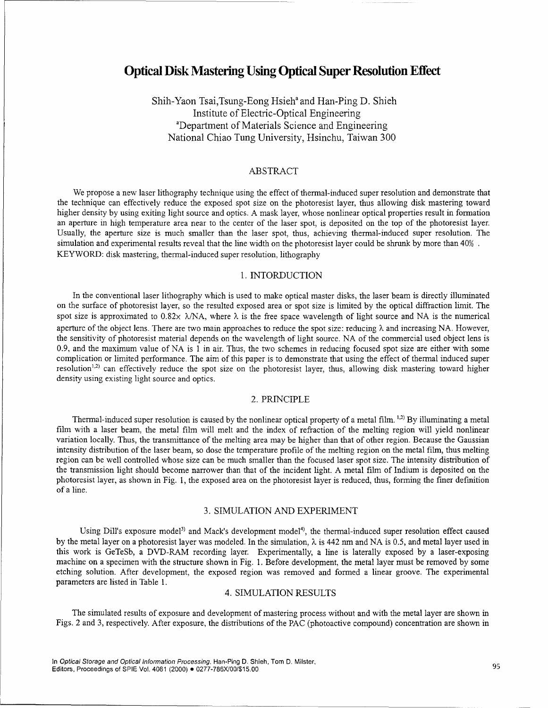# Optical Disk Mastering Using Optical Super Resolution Effect

Shih-Yaon Tsai,Tsung-Eong Hsieh<sup>a</sup> and Han-Ping D. Shieh Institute of Electric-Optical Engineering<br>
<sup>a</sup>Department of Materials Science and Engineering National Chiao Tung University, Hsinchu, Taiwan 300

## ABSTRACT

We propose a new laser lithography technique using the effect of thermal-induced super resolution and demonstrate that the technique can effectively reduce the exposed spot size on the photoresist layer, thus allowing disk mastering toward higher density by using exiting light source and optics. A mask layer, whose nonlinear optical properties result in formation an aperture in high temperature area near to the center of the laser spot, is deposited on the top of the photoresist layer. Usually, the aperture size is much smaller than the laser spot, thus, achieving thermal-induced super resolution. The simulation and experimental results reveal that the line width on the photoresist layer could be shrunk by more than 40%. KEYWORD: disk mastering, thermal-induced super resolution, lithography

## 1. INTORDUCTION

In the conventional laser lithography which is used to make optical master disks, the laser beam is directly illuminated on the surface of photoresist layer, so the resulted exposed area or spot size is limited by the optical diffraction limit. The spot size is approximated to 0.82x  $\lambda/NA$ , where  $\lambda$  is the free space wavelength of light source and NA is the numerical aperture of the object lens. There are two main approaches to reduce the spot size: reducing  $\lambda$  and increasing NA. However, the sensitivity of photoresist material depends on the wavelength of light source. NA of the commercial used object lens is 0.9, and the maximum value of NA is 1 in air. Thus, the two schemes in reducing focused spot size are either with some complication or limited performance. The aim of this paper is to demonstrate that using the effect of thermal induced super  $r = \frac{1}{2}$  can effectively reduce the spot size on the photoresist layer, thus, allowing disk mastering toward higher density using existing light source and optics.

#### 2. PRINCIPLE

Thermal-induced super resolution is caused by the nonlinear optical property of a metal film. **1,2)** By illuminating a metal film with a laser beam, the metal film will melt and the index of refraction of the melting region will yield nonlinear variation locally. Thus, the transmittance of the melting area may be higher than that of other region. Because the Gaussian intensity distribution of the laser beam, so dose the temperature profile of the melting region on the metal film, thus melting region can be well controlled whose size can be much smaller than the focused laser spot size. The intensity distribution of the transmission light should become narrower than that of the incident light. A metal film of Indium is deposited on the photoresist layer, as shown in Fig. 1, the exposed area on the photoresist layer is reduced, thus, forming the finer definition of a line.

# 3. SIMULATION AND EXPERIMENT

Using Dill's exposure model<sup>3)</sup> and Mack's development model<sup>4)</sup>, the thermal-induced super resolution effect caused by the metal layer on a photoresist layer was modeled. In the simulation,  $\lambda$  is 442 nm and NA is 0.5, and metal layer used in this work is GeTeSb, a DVD-RAM recording layer. Experimentally, a line is laterally exposed by a laser-exposing machine on a specimen with the structure shown in Fig. 1. Before development, the metal layer must be removed by some etching solution. After development, the exposed region was removed and formed a linear groove. The experimental parameters are listed in Table 1.

## 4. SIMULATION RESULTS

The simulated results of exposure and development of mastering process without and with the metal layer are shown in Figs. 2 and 3, respectively. After exposure, the distributions of the PAC (photoactive compound) concentration are shown in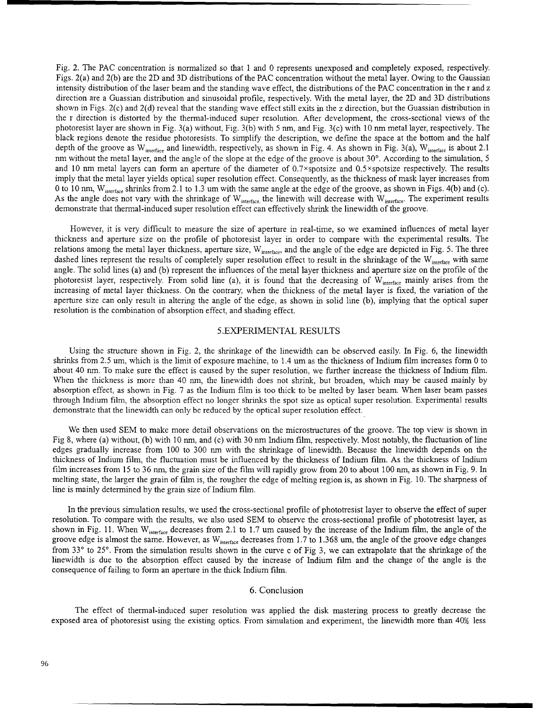Fig. 2. The PAC concentration is normalized so that **I** and 0 represents unexposed and completely exposed, respectively. Figs. 2(a) and 2(b) are the 2D and 3D distributions of the PAC concentration without the metal layer. Owing to the Gaussian intensity distribution of the laser beam and the standing wave effect, the distributions of the PAC concentration in the r and z direction are a Guassian distribution and sinusoidal profile, respectively. With the metal layer, the 2D and 3D distributions shown in Figs. 2(c) and 2(d) reveal that the standing wave effect still exits in the z direction, but the Guassian distribution in the r direction is distorted by the thermal-induced super resolution. After development, the cross-sectional views of the photoresist layer are shown in Fig. 3(a) without, Fig. 3(b) with 5 nm, and Fig. 3(c) with 10 nm metal layer, respectively. The black regions denote the residue photoresists. To simplify the description, we define the space at the bottom and the half depth of the groove as W<sub>interface</sub> and linewidth, respectively, as shown in Fig. 4. As shown in Fig. 3(a), W<sub>interface</sub> is about 2.1 nm without the metal layer, and the angle of the slope at the edge of the groove is about  $30^\circ$ . According to the simulation, 5 and 10 nm metal layers can form an aperture of the diameter of  $0.7\times$ spotsize and  $0.5\times$ spotsize respectively. The results imply that the metal layer yields optical super resolution effect. Consequently, as the thickness of mask layer increases from 0 to 10 nm,  $W_{inertsee}$  shrinks from 2.1 to 1.3 um with the same angle at the edge of the groove, as shown in Figs. 4(b) and (c). As the angle does not vary with the shrinkage of W<sub>interface</sub>, the linewith will decrease with W<sub>interface</sub>. The experiment results As the angle does not vary with the shrinkage of W<sub>interface</sub>, the linewith will decrease demonstrate that thermal-induced super resolution effect can effectively shrink the linewidth of the groove.

However, it is very difficult to measure the size of aperture in real-time, so we examined influences of metal layer thickness and aperture size on the profile of photoresist layer in order to compare with the experimental results. The relations among the metal layer thickness, aperture size,  $W_{interface}$ , and the angle of the edge are depicted in Fig. 5. The three dashed lines represent the results of completely super resolution effect to result in the shrinkage of the  $W_{interface}$  with same angle. The solid lines (a) and (b) represent the influences of the metal layer thickness and aperture size on the profile of the photoresist layer, respectively. From solid line (a), it is found that the decreasing of  $W_{interface}$  mainly arises from the increasing of metal layer thickness. On the contrary, when the thickness of the metal layer is fixed, the variation of the aperture size can only result in altering the angle of the edge, as shown in solid line (b), implying that the optical super resolution is the combination of absorption effect, and shading effect.

#### 5.EXPERIMENTAL RESULTS

Using the structure shown in Fig. 2, the shrinkage of the linewidth can be observed easily. In Fig. 6, the linewidth shrinks from 2.5 um, which is the limit of exposure machine, to 1.4 um as the thickness of Indium film increases form 0 to about 40 nm. To make sure the effect is caused by the super resolution, we further increase the thickness of Indium film. When the thickness is more than 40 *nm,* the linewidth does not shrink, but broaden, which may be caused mainly by absorption effect, as shown in Fig. 7 as the Indium film is too thick to be melted by laser beam. When laser beam passes through Indium film, the absorption effect no longer shrinks the spot size as optical super resolution. Experimental results demonstrate that the linewidth can only be reduced by the optical super resolution effect.

We then used SEM to make more detail observations on the microstructures of the groove. The top view is shown in Fig 8, where (a) without, (b) with 10 nm, and (c) with 30 nm Indium film, respectively. Most notably, the fluctuation of line edges gradually increase from 100 to 300 nm with the shrinkage of linewidth. Because the linewidth depends on the thickness of Indium film, the fluctuation must be influenced by the thickness of Indium film. As the thickness of Indium film increases from 15 to 36 nm, the grain size of the film will rapidly grow from 20 to about 100 nm, as shown in Fig. 9. In melting state, the larger the grain of film is, the rougher the edge of melting region is, as shown in Fig. 10. The sharpness of line is mainly determined by the grain size of Indium film.

In the previous simulation results, we used the cross-sectional profile of phototresist layer to observe the effect of super resolution. To compare with the results, we also used SEM to observe the cross-sectional profile of phototresist layer, as shown in Fig. 11. When  $W_{inertace}$  decreases from 2.1 to 1.7 um caused by the increase of the Indium film, the angle of the groove edge is almost the same. However, as  $W_{interface}$  decreases from 1.7 to 1.368 um, the angle of the groove edge changes from 33° to 25°. From the simulation results shown in the curve c of Fig 3, we can extrapolate that the shrinkage of the linewidth is due to the absorption effect caused by the increase of Indium film and the change of the angle is the consequence of failing to form an aperture in the thick Indium film.

### 6. Conclusion

The effect of thermal-induced super resolution was applied the disk mastering process to greatly decrease the exposed area of photoresist using the existing optics. From simulation and experiment, the linewidth more than 40% less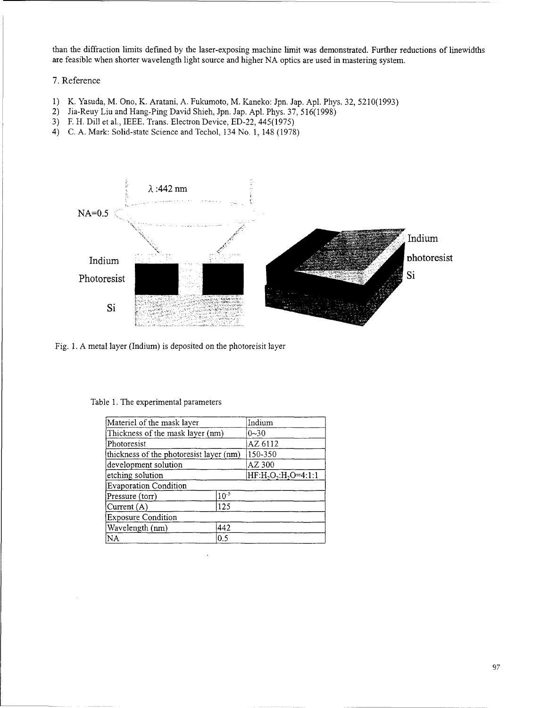than the diffraction limits defined by the laser-exposing machine limit was demonstrated. Further reductions of linewidths are feasible when shorter wavelength light source and higher NA optics are used in mastering system.

# 7. Reference

- 1) K. Yasuda, M. Ono, K. Aratani, A. Fukumoto, M. Kaneko: Jpn. Jap. Apl. Phys. 32, 5210(1993)
- 2) Jia-Reuy Liu and Hang-Ping David Shieh, Jpn. Jap. Apl. Phys. 37, 516(1998)
- 3) F. H. Dill et al., IEEE. Trans. Electron Device, ED-22, 445(1975)
- 4) C. A. Mark: Solid-state Science and Techol, 134 No. 1, 148 (1978)



Fig. 1. A metal layer (Indium) is deposited on the photoreisit layer

## Table 1. The experimental parameters

| Materiel of the mask layer              |           | Indium            |
|-----------------------------------------|-----------|-------------------|
| Thickness of the mask layer (nm)        |           | $0 - 30$          |
| Photoresist                             |           | AZ 6112           |
| thickness of the photoresist layer (nm) |           | 150-350           |
| development solution                    |           | AZ 300            |
| etching solution                        |           | HF:H,O,:H,O=4:1:1 |
| Evaporation Condition                   |           |                   |
| Pressure (torr)                         | $10^{-5}$ |                   |
| Current $(A)$                           | 125       |                   |
| <b>Exposure Condition</b>               |           |                   |
| Wavelength (nm)                         | 442       |                   |
| NA                                      | 0.5       |                   |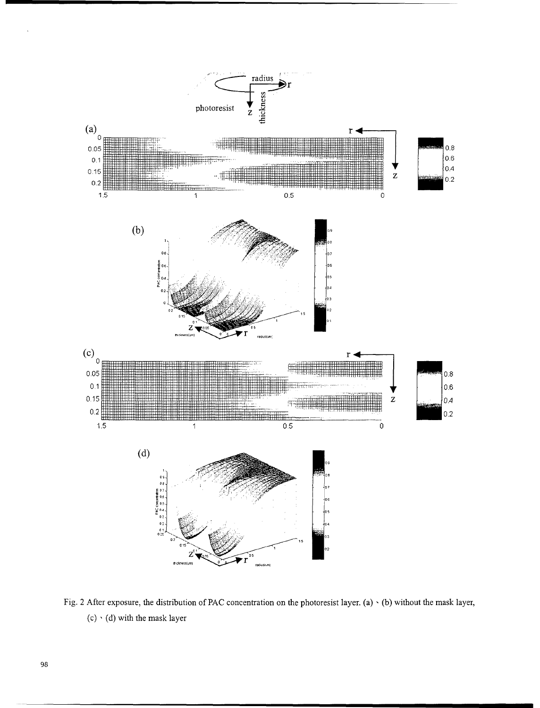

Fig. 2 After exposure, the distribution of **PAC** concentration on the photoresist layer. (a) **-(b)** without the mask layer, (c) **,(d)** with the mask layer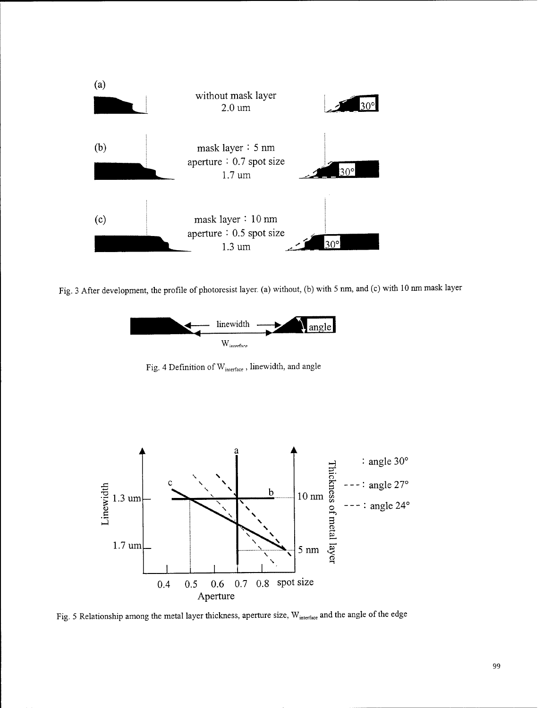

Fig. 3 After development, the profile of photoresist layer. (a) without, (b) with 5 nm, and (c) with 10 nm mask layer



Fig. 4 Definition of W<sub>interface</sub>, linewidth, and angle



Fig. 5 Relationship among the metal layer thickness, aperture size, W<sub>interface</sub> and the angle of the edge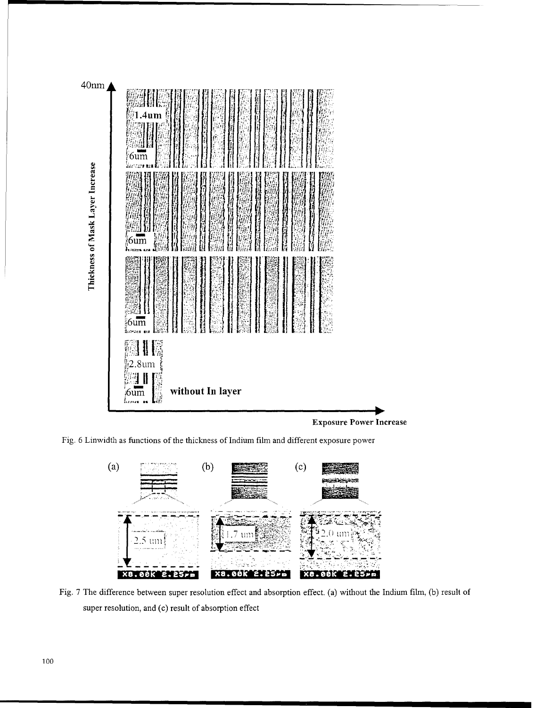

**Exposure Power Increase** 

Fig. 6 Linwidth as functions of the thickness of Indium film and different exposure power



Fig. 7 The difference between super resolution effect and absorption effect. (a) without the Indium film, (b) result of super resolution, and (c) result of absorption effect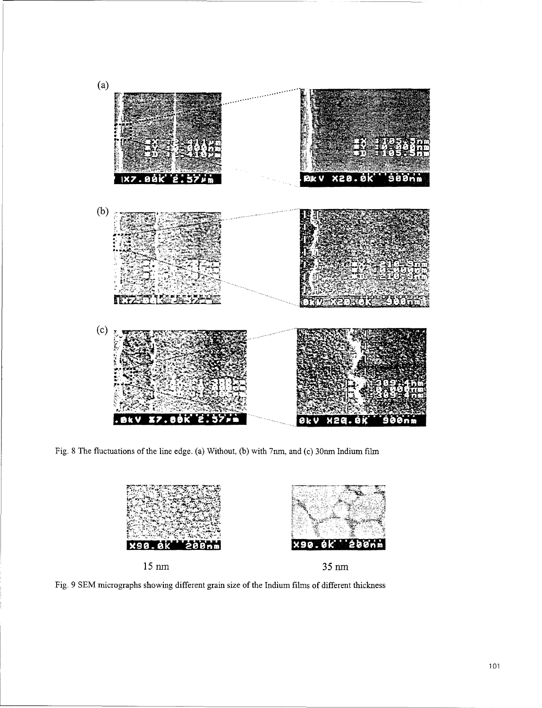

Fig. **8** The fluctuations of the line edge. (a) Without, **(b)** with 7nm, and (c) 3Onm Indium film